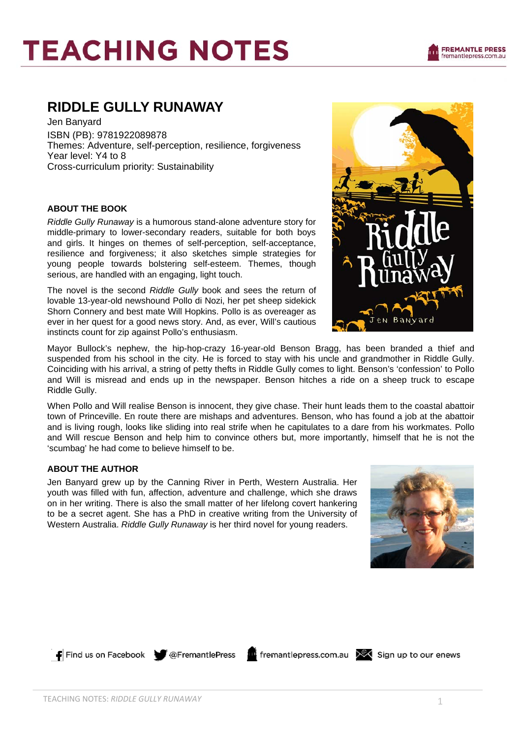# **RIDDLE GULLY RUNAWAY**

Jen Banyard ISBN (PB): 9781922089878 Themes: Adventure, self-perception, resilience, forgiveness Year level: Y4 to 8 Cross-curriculum priority: Sustainability

# **ABOUT THE BOOK**

*Riddle Gully Runaway* is a humorous stand-alone adventure story for middle-primary to lower-secondary readers, suitable for both boys and girls. It hinges on themes of self-perception, self-acceptance, resilience and forgiveness; it also sketches simple strategies for young people towards bolstering self-esteem. Themes, though serious, are handled with an engaging, light touch.

The novel is the second *Riddle Gully* book and sees the return of lovable 13-year-old newshound Pollo di Nozi, her pet sheep sidekick Shorn Connery and best mate Will Hopkins. Pollo is as overeager as ever in her quest for a good news story. And, as ever, Will's cautious instincts count for zip against Pollo's enthusiasm.

Mayor Bullock's nephew, the hip-hop-crazy 16-year-old Benson Bragg, has been branded a thief and suspended from his school in the city. He is forced to stay with his uncle and grandmother in Riddle Gully. Coinciding with his arrival, a string of petty thefts in Riddle Gully comes to light. Benson's 'confession' to Pollo and Will is misread and ends up in the newspaper. Benson hitches a ride on a sheep truck to escape Riddle Gully.

When Pollo and Will realise Benson is innocent, they give chase. Their hunt leads them to the coastal abattoir town of Princeville. En route there are mishaps and adventures. Benson, who has found a job at the abattoir and is living rough, looks like sliding into real strife when he capitulates to a dare from his workmates. Pollo and Will rescue Benson and help him to convince others but, more importantly, himself that he is not the 'scumbag' he had come to believe himself to be.

# **ABOUT THE AUTHOR**

Jen Banyard grew up by the Canning River in Perth, Western Australia. Her youth was filled with fun, affection, adventure and challenge, which she draws on in her writing. There is also the small matter of her lifelong covert hankering to be a secret agent. She has a PhD in creative writing from the University of Western Australia. *Riddle Gully Runaway* is her third novel for young readers.



 $\Box$  Find us on Facebook  $\bigcirc$  @FremantlePress

find fremantlepress.com.au X Sign up to our enews

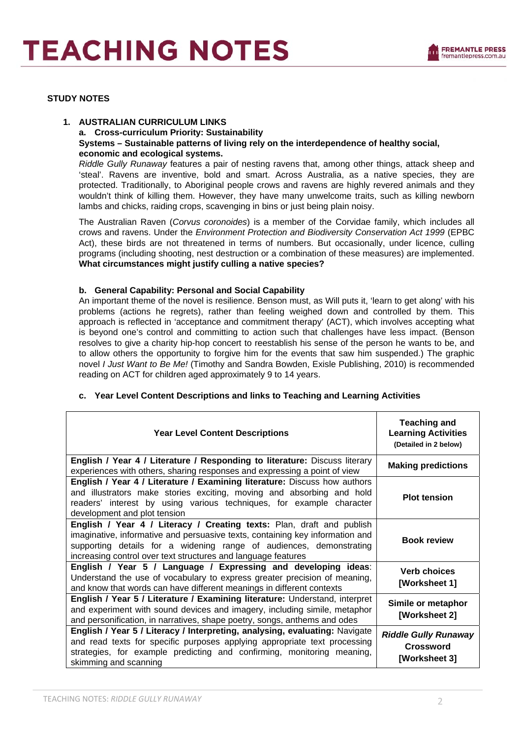# **STUDY NOTES**

# **1. AUSTRALIAN CURRICULUM LINKS a. Cross-curriculum Priority: Sustainability Systems – Sustainable patterns of living rely on the interdependence of healthy social, economic and ecological systems.**

*Riddle Gully Runaway* features a pair of nesting ravens that, among other things, attack sheep and 'steal'. Ravens are inventive, bold and smart. Across Australia, as a native species, they are protected. Traditionally, to Aboriginal people crows and ravens are highly revered animals and they wouldn't think of killing them. However, they have many unwelcome traits, such as killing newborn lambs and chicks, raiding crops, scavenging in bins or just being plain noisy.

The Australian Raven (*Corvus coronoides*) is a member of the Corvidae family, which includes all crows and ravens. Under the *Environment Protection and Biodiversity Conservation Act 1999* (EPBC Act), these birds are not threatened in terms of numbers. But occasionally, under licence, culling programs (including shooting, nest destruction or a combination of these measures) are implemented. **What circumstances might justify culling a native species?**

# **b. General Capability: Personal and Social Capability**

An important theme of the novel is resilience. Benson must, as Will puts it, 'learn to get along' with his problems (actions he regrets), rather than feeling weighed down and controlled by them. This approach is reflected in 'acceptance and commitment therapy' (ACT), which involves accepting what is beyond one's control and committing to action such that challenges have less impact. (Benson resolves to give a charity hip-hop concert to reestablish his sense of the person he wants to be, and to allow others the opportunity to forgive him for the events that saw him suspended.) The graphic novel *I Just Want to Be Me!* (Timothy and Sandra Bowden, Exisle Publishing, 2010) is recommended reading on ACT for children aged approximately 9 to 14 years.

| <b>Year Level Content Descriptions</b>                                                                                                                                                                                                                                                         | <b>Teaching and</b><br><b>Learning Activities</b><br>(Detailed in 2 below) |
|------------------------------------------------------------------------------------------------------------------------------------------------------------------------------------------------------------------------------------------------------------------------------------------------|----------------------------------------------------------------------------|
| <b>English / Year 4 / Literature / Responding to literature:</b> Discuss literary<br>experiences with others, sharing responses and expressing a point of view                                                                                                                                 | <b>Making predictions</b>                                                  |
| English / Year 4 / Literature / Examining literature: Discuss how authors<br>and illustrators make stories exciting, moving and absorbing and hold<br>readers' interest by using various techniques, for example character<br>development and plot tension                                     | <b>Plot tension</b>                                                        |
| English / Year 4 / Literacy / Creating texts: Plan, draft and publish<br>imaginative, informative and persuasive texts, containing key information and<br>supporting details for a widening range of audiences, demonstrating<br>increasing control over text structures and language features | <b>Book review</b>                                                         |
| English / Year 5 / Language / Expressing and developing ideas:<br>Understand the use of vocabulary to express greater precision of meaning,<br>and know that words can have different meanings in different contexts                                                                           | <b>Verb choices</b><br>[Worksheet 1]                                       |
| English / Year 5 / Literature / Examining literature: Understand, interpret<br>and experiment with sound devices and imagery, including simile, metaphor<br>and personification, in narratives, shape poetry, songs, anthems and odes                                                          | Simile or metaphor<br>[Worksheet 2]                                        |
| English / Year 5 / Literacy / Interpreting, analysing, evaluating: Navigate<br>and read texts for specific purposes applying appropriate text processing<br>strategies, for example predicting and confirming, monitoring meaning,<br>skimming and scanning                                    | <b>Riddle Gully Runaway</b><br><b>Crossword</b><br>[Worksheet 3]           |

# **c. Year Level Content Descriptions and links to Teaching and Learning Activities**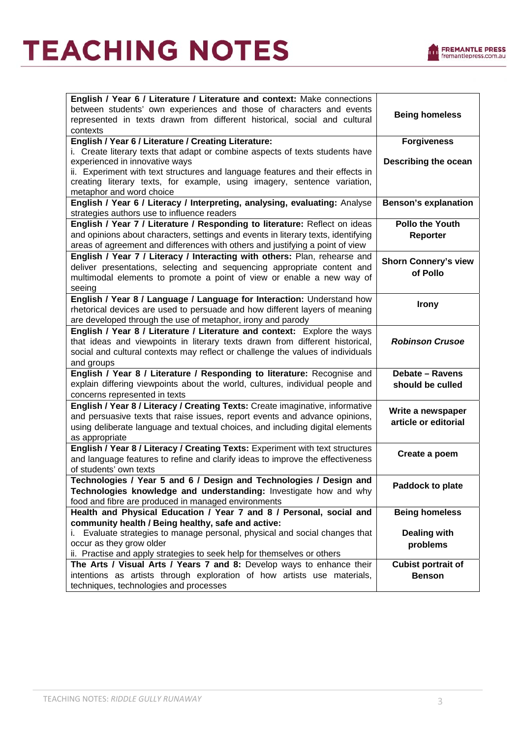

| English / Year 6 / Literature / Literature and context: Make connections<br>between students' own experiences and those of characters and events<br><b>Being homeless</b><br>represented in texts drawn from different historical, social and cultural |
|--------------------------------------------------------------------------------------------------------------------------------------------------------------------------------------------------------------------------------------------------------|
|                                                                                                                                                                                                                                                        |
|                                                                                                                                                                                                                                                        |
| contexts                                                                                                                                                                                                                                               |
| English / Year 6 / Literature / Creating Literature:<br><b>Forgiveness</b>                                                                                                                                                                             |
| i. Create literary texts that adapt or combine aspects of texts students have                                                                                                                                                                          |
| experienced in innovative ways<br>Describing the ocean                                                                                                                                                                                                 |
| ii. Experiment with text structures and language features and their effects in                                                                                                                                                                         |
| creating literary texts, for example, using imagery, sentence variation,                                                                                                                                                                               |
| metaphor and word choice<br>English / Year 6 / Literacy / Interpreting, analysing, evaluating: Analyse<br><b>Benson's explanation</b>                                                                                                                  |
| strategies authors use to influence readers                                                                                                                                                                                                            |
| <b>Pollo the Youth</b><br>English / Year 7 / Literature / Responding to literature: Reflect on ideas                                                                                                                                                   |
| and opinions about characters, settings and events in literary texts, identifying<br>Reporter                                                                                                                                                          |
| areas of agreement and differences with others and justifying a point of view                                                                                                                                                                          |
| English / Year 7 / Literacy / Interacting with others: Plan, rehearse and                                                                                                                                                                              |
| <b>Shorn Connery's view</b><br>deliver presentations, selecting and sequencing appropriate content and                                                                                                                                                 |
| of Pollo<br>multimodal elements to promote a point of view or enable a new way of                                                                                                                                                                      |
| seeing                                                                                                                                                                                                                                                 |
| English / Year 8 / Language / Language for Interaction: Understand how<br><b>Irony</b>                                                                                                                                                                 |
| rhetorical devices are used to persuade and how different layers of meaning                                                                                                                                                                            |
| are developed through the use of metaphor, irony and parody                                                                                                                                                                                            |
| English / Year 8 / Literature / Literature and context: Explore the ways                                                                                                                                                                               |
| that ideas and viewpoints in literary texts drawn from different historical,<br><b>Robinson Crusoe</b>                                                                                                                                                 |
| social and cultural contexts may reflect or challenge the values of individuals                                                                                                                                                                        |
| and groups                                                                                                                                                                                                                                             |
| English / Year 8 / Literature / Responding to literature: Recognise and<br><b>Debate - Ravens</b>                                                                                                                                                      |
| explain differing viewpoints about the world, cultures, individual people and<br>should be culled                                                                                                                                                      |
| concerns represented in texts<br>English / Year 8 / Literacy / Creating Texts: Create imaginative, informative                                                                                                                                         |
| Write a newspaper<br>and persuasive texts that raise issues, report events and advance opinions,                                                                                                                                                       |
| article or editorial<br>using deliberate language and textual choices, and including digital elements                                                                                                                                                  |
| as appropriate                                                                                                                                                                                                                                         |
| English / Year 8 / Literacy / Creating Texts: Experiment with text structures                                                                                                                                                                          |
| Create a poem<br>and language features to refine and clarify ideas to improve the effectiveness                                                                                                                                                        |
| of students' own texts                                                                                                                                                                                                                                 |
| Technologies / Year 5 and 6 / Design and Technologies / Design and                                                                                                                                                                                     |
| Paddock to plate<br>Technologies knowledge and understanding: Investigate how and why                                                                                                                                                                  |
| food and fibre are produced in managed environments                                                                                                                                                                                                    |
| Health and Physical Education / Year 7 and 8 / Personal, social and<br><b>Being homeless</b>                                                                                                                                                           |
| community health / Being healthy, safe and active:                                                                                                                                                                                                     |
| i. Evaluate strategies to manage personal, physical and social changes that<br><b>Dealing with</b>                                                                                                                                                     |
| occur as they grow older<br>problems                                                                                                                                                                                                                   |
| ii. Practise and apply strategies to seek help for themselves or others<br>The Arts / Visual Arts / Years 7 and 8: Develop ways to enhance their<br><b>Cubist portrait of</b>                                                                          |
| intentions as artists through exploration of how artists use materials,<br><b>Benson</b>                                                                                                                                                               |
| techniques, technologies and processes                                                                                                                                                                                                                 |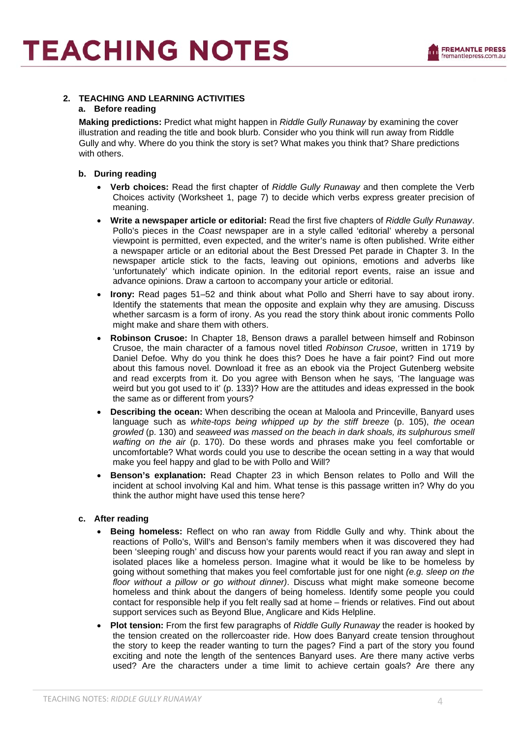# **2. TEACHING AND LEARNING ACTIVITIES**

#### **a. Before reading**

**Making predictions:** Predict what might happen in *Riddle Gully Runaway* by examining the cover illustration and reading the title and book blurb. Consider who you think will run away from Riddle Gully and why. Where do you think the story is set? What makes you think that? Share predictions with others.

# **b. During reading**

- **Verb choices:** Read the first chapter of *Riddle Gully Runaway* and then complete the Verb Choices activity (Worksheet 1, page 7) to decide which verbs express greater precision of meaning.
- **Write a newspaper article or editorial:** Read the first five chapters of *Riddle Gully Runaway*. Pollo's pieces in the *Coast* newspaper are in a style called 'editorial' whereby a personal viewpoint is permitted, even expected, and the writer's name is often published. Write either a newspaper article or an editorial about the Best Dressed Pet parade in Chapter 3. In the newspaper article stick to the facts, leaving out opinions, emotions and adverbs like 'unfortunately' which indicate opinion. In the editorial report events, raise an issue and advance opinions. Draw a cartoon to accompany your article or editorial.
- **Irony:** Read pages 51–52 and think about what Pollo and Sherri have to say about irony. Identify the statements that mean the opposite and explain why they are amusing. Discuss whether sarcasm is a form of irony. As you read the story think about ironic comments Pollo might make and share them with others.
- **Robinson Crusoe:** In Chapter 18, Benson draws a parallel between himself and Robinson Crusoe, the main character of a famous novel titled *Robinson Crusoe*, written in 1719 by Daniel Defoe. Why do you think he does this? Does he have a fair point? Find out more about this famous novel. Download it free as an ebook via the Project Gutenberg website and read excerpts from it. Do you agree with Benson when he says*,* 'The language was weird but you got used to it' (p. 133)? How are the attitudes and ideas expressed in the book the same as or different from yours?
- **Describing the ocean:** When describing the ocean at Maloola and Princeville, Banyard uses language such as *white-tops being whipped up by the stiff breeze* (p. 105), *the ocean growled* (p. 130) and *seaweed was massed on the beach in dark shoals, its sulphurous smell wafting on the air* (p. 170). Do these words and phrases make you feel comfortable or uncomfortable? What words could you use to describe the ocean setting in a way that would make you feel happy and glad to be with Pollo and Will?
- **Benson's explanation:** Read Chapter 23 in which Benson relates to Pollo and Will the incident at school involving Kal and him. What tense is this passage written in? Why do you think the author might have used this tense here?

# **c. After reading**

- **Being homeless:** Reflect on who ran away from Riddle Gully and why. Think about the reactions of Pollo's, Will's and Benson's family members when it was discovered they had been 'sleeping rough' and discuss how your parents would react if you ran away and slept in isolated places like a homeless person. Imagine what it would be like to be homeless by going without something that makes you feel comfortable just for one night *(e.g. sleep on the floor without a pillow or go without dinner)*. Discuss what might make someone become homeless and think about the dangers of being homeless. Identify some people you could contact for responsible help if you felt really sad at home – friends or relatives. Find out about support services such as Beyond Blue, Anglicare and Kids Helpline.
- **Plot tension:** From the first few paragraphs of *Riddle Gully Runaway* the reader is hooked by the tension created on the rollercoaster ride. How does Banyard create tension throughout the story to keep the reader wanting to turn the pages? Find a part of the story you found exciting and note the length of the sentences Banyard uses. Are there many active verbs used? Are the characters under a time limit to achieve certain goals? Are there any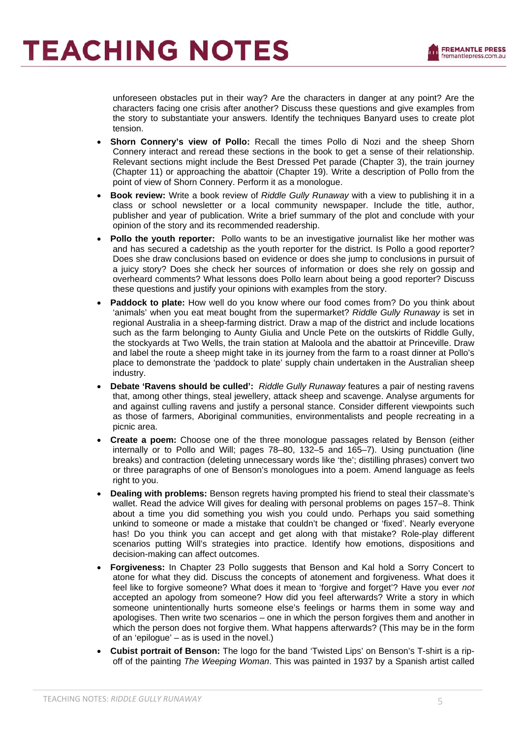unforeseen obstacles put in their way? Are the characters in danger at any point? Are the characters facing one crisis after another? Discuss these questions and give examples from the story to substantiate your answers. Identify the techniques Banyard uses to create plot tension.

- **Shorn Connery's view of Pollo:** Recall the times Pollo di Nozi and the sheep Shorn Connery interact and reread these sections in the book to get a sense of their relationship. Relevant sections might include the Best Dressed Pet parade (Chapter 3), the train journey (Chapter 11) or approaching the abattoir (Chapter 19). Write a description of Pollo from the point of view of Shorn Connery. Perform it as a monologue.
- **Book review:** Write a book review of *Riddle Gully Runaway* with a view to publishing it in a class or school newsletter or a local community newspaper. Include the title, author, publisher and year of publication. Write a brief summary of the plot and conclude with your opinion of the story and its recommended readership.
- **Pollo the youth reporter:** Pollo wants to be an investigative journalist like her mother was and has secured a cadetship as the youth reporter for the district. Is Pollo a good reporter? Does she draw conclusions based on evidence or does she jump to conclusions in pursuit of a juicy story? Does she check her sources of information or does she rely on gossip and overheard comments? What lessons does Pollo learn about being a good reporter? Discuss these questions and justify your opinions with examples from the story.
- **Paddock to plate:** How well do you know where our food comes from? Do you think about 'animals' when you eat meat bought from the supermarket? *Riddle Gully Runaway* is set in regional Australia in a sheep-farming district. Draw a map of the district and include locations such as the farm belonging to Aunty Giulia and Uncle Pete on the outskirts of Riddle Gully, the stockyards at Two Wells, the train station at Maloola and the abattoir at Princeville. Draw and label the route a sheep might take in its journey from the farm to a roast dinner at Pollo's place to demonstrate the 'paddock to plate' supply chain undertaken in the Australian sheep industry.
- **Debate 'Ravens should be culled':** *Riddle Gully Runaway* features a pair of nesting ravens that, among other things, steal jewellery, attack sheep and scavenge. Analyse arguments for and against culling ravens and justify a personal stance. Consider different viewpoints such as those of farmers, Aboriginal communities, environmentalists and people recreating in a picnic area.
- **Create a poem:** Choose one of the three monologue passages related by Benson (either internally or to Pollo and Will; pages 78–80, 132–5 and 165–7). Using punctuation (line breaks) and contraction (deleting unnecessary words like 'the'; distilling phrases) convert two or three paragraphs of one of Benson's monologues into a poem. Amend language as feels right to you.
- **Dealing with problems:** Benson regrets having prompted his friend to steal their classmate's wallet. Read the advice Will gives for dealing with personal problems on pages 157–8. Think about a time you did something you wish you could undo. Perhaps you said something unkind to someone or made a mistake that couldn't be changed or 'fixed'. Nearly everyone has! Do you think you can accept and get along with that mistake? Role-play different scenarios putting Will's strategies into practice. Identify how emotions, dispositions and decision-making can affect outcomes.
- **Forgiveness:** In Chapter 23 Pollo suggests that Benson and Kal hold a Sorry Concert to atone for what they did. Discuss the concepts of atonement and forgiveness. What does it feel like to forgive someone? What does it mean to 'forgive and forget'? Have you ever *not* accepted an apology from someone? How did you feel afterwards? Write a story in which someone unintentionally hurts someone else's feelings or harms them in some way and apologises. Then write two scenarios – one in which the person forgives them and another in which the person does not forgive them. What happens afterwards? (This may be in the form of an 'epilogue' – as is used in the novel.)
- **Cubist portrait of Benson:** The logo for the band 'Twisted Lips' on Benson's T-shirt is a ripoff of the painting *The Weeping Woman*. This was painted in 1937 by a Spanish artist called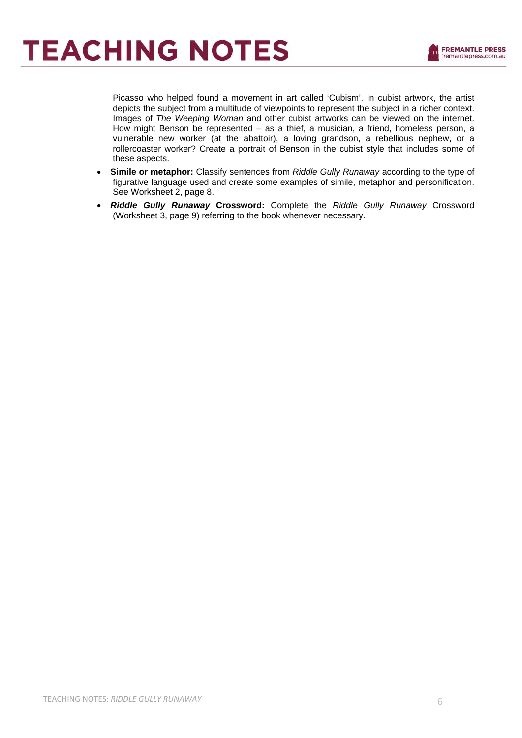Picasso who helped found a movement in art called 'Cubism'. In cubist artwork, the artist depicts the subject from a multitude of viewpoints to represent the subject in a richer context. Images of *The Weeping Woman* and other cubist artworks can be viewed on the internet. How might Benson be represented – as a thief, a musician, a friend, homeless person, a vulnerable new worker (at the abattoir), a loving grandson, a rebellious nephew, or a rollercoaster worker? Create a portrait of Benson in the cubist style that includes some of these aspects.

- **Simile or metaphor:** Classify sentences from *Riddle Gully Runaway* according to the type of figurative language used and create some examples of simile, metaphor and personification. See Worksheet 2, page 8.
- *Riddle Gully Runaway* **Crossword:** Complete the *Riddle Gully Runaway* Crossword (Worksheet 3, page 9) referring to the book whenever necessary.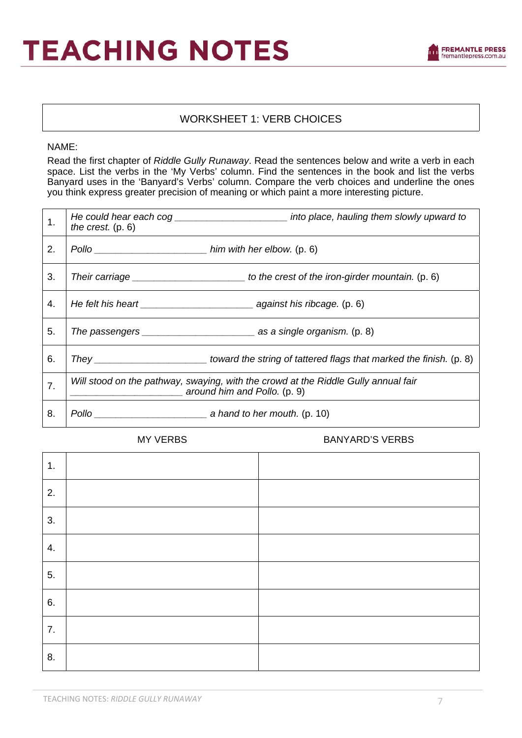# WORKSHEET 1: VERB CHOICES

NAME:

Read the first chapter of *Riddle Gully Runaway*. Read the sentences below and write a verb in each space. List the verbs in the 'My Verbs' column. Find the sentences in the book and list the verbs Banyard uses in the 'Banyard's Verbs' column. Compare the verb choices and underline the ones you think express greater precision of meaning or which paint a more interesting picture.

| 1. | the crest. $(p. 6)$ | He could hear each cog __________________________ into place, hauling them slowly upward to                        |
|----|---------------------|--------------------------------------------------------------------------------------------------------------------|
| 2. |                     |                                                                                                                    |
| 3. |                     |                                                                                                                    |
| 4. |                     |                                                                                                                    |
| 5. |                     |                                                                                                                    |
| 6. |                     |                                                                                                                    |
| 7. |                     | Will stood on the pathway, swaying, with the crowd at the Riddle Gully annual fair<br>around him and Pollo. (p. 9) |
| 8. | Pollo               | $\frac{1}{2}$ a hand to her mouth. (p. 10)                                                                         |

MY VERBS BANYARD'S VERBS

| 1. |  |
|----|--|
| 2. |  |
| 3. |  |
| 4. |  |
| 5. |  |
| 6. |  |
| 7. |  |
| 8. |  |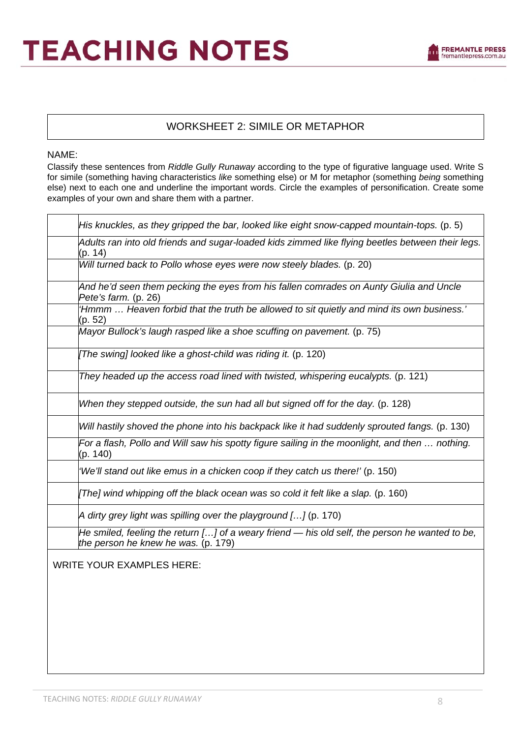

# WORKSHEET 2: SIMILE OR METAPHOR

# NAME:

Classify these sentences from *Riddle Gully Runaway* according to the type of figurative language used. Write S for simile (something having characteristics *like* something else) or M for metaphor (something *being* something else) next to each one and underline the important words. Circle the examples of personification. Create some examples of your own and share them with a partner.

| His knuckles, as they gripped the bar, looked like eight snow-capped mountain-tops. (p. 5)                                              |
|-----------------------------------------------------------------------------------------------------------------------------------------|
| Adults ran into old friends and sugar-loaded kids zimmed like flying beetles between their legs.<br>(p. 14)                             |
| Will turned back to Pollo whose eyes were now steely blades. (p. 20)                                                                    |
| And he'd seen them pecking the eyes from his fallen comrades on Aunty Giulia and Uncle<br>Pete's farm. (p. 26)                          |
| 'Hmmm  Heaven forbid that the truth be allowed to sit quietly and mind its own business.'<br>(p. 52)                                    |
| Mayor Bullock's laugh rasped like a shoe scuffing on pavement. (p. 75)                                                                  |
| [The swing] looked like a ghost-child was riding it. (p. 120)                                                                           |
| They headed up the access road lined with twisted, whispering eucalypts. (p. 121)                                                       |
| When they stepped outside, the sun had all but signed off for the day. (p. 128)                                                         |
| Will hastily shoved the phone into his backpack like it had suddenly sprouted fangs. (p. 130)                                           |
| For a flash, Pollo and Will saw his spotty figure sailing in the moonlight, and then  nothing.<br>(p. 140)                              |
| 'We'll stand out like emus in a chicken coop if they catch us there!' (p. 150)                                                          |
| [The] wind whipping off the black ocean was so cold it felt like a slap. (p. 160)                                                       |
| A dirty grey light was spilling over the playground $[]$ (p. 170)                                                                       |
| He smiled, feeling the return [] of a weary friend $-$ his old self, the person he wanted to be,<br>the person he knew he was. (p. 179) |
| <b>WRITE YOUR EXAMPLES HERE:</b>                                                                                                        |
|                                                                                                                                         |
|                                                                                                                                         |
|                                                                                                                                         |
|                                                                                                                                         |
|                                                                                                                                         |